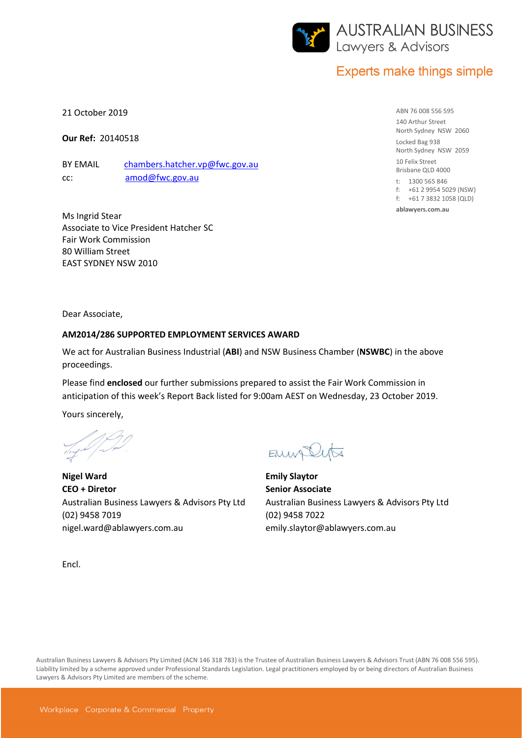

# **Experts make things simple**

21 October 2019

**Our Ref:** 20140518

BY EMAIL [chambers.hatcher.vp@fwc.gov.au](file://///NSWBC1PWWDX01/WDOX/MATTERS/8200/20140518/chambers.hatcher.vp@fwc.gov.au) cc: [amod@fwc.gov.au](file://///NSWBC1PWWDX01/WDOX/MATTERS/8200/20140518/amod@fwc.gov.au)

Ms Ingrid Stear Associate to Vice President Hatcher SC Fair Work Commission 80 William Street EAST SYDNEY NSW 2010

ABN 76 008 556 595 140 Arthur Street North Sydney NSW 2060 Locked Bag 938 North Sydney NSW 2059 10 Felix Street Brisbane QLD 4000

t: 1300 565 846 f: +61 2 9954 5029 (NSW)

f: +61 7 3832 1058 (QLD)

**ablawyers.com.au**

Dear Associate,

#### **AM2014/286 SUPPORTED EMPLOYMENT SERVICES AWARD**

We act for Australian Business Industrial (**ABI**) and NSW Business Chamber (**NSWBC**) in the above proceedings.

Please find **enclosed** our further submissions prepared to assist the Fair Work Commission in anticipation of this week's Report Back listed for 9:00am AEST on Wednesday, 23 October 2019.

Yours sincerely,

**Nigel Ward CEO + Diretor** Australian Business Lawyers & Advisors Pty Ltd (02) 9458 7019 nigel.ward@ablawyers.com.au

ENWASUTA

**Emily Slaytor Senior Associate** Australian Business Lawyers & Advisors Pty Ltd (02) 9458 7022 emily.slaytor@ablawyers.com.au

Encl.

Australian Business Lawyers & Advisors Pty Limited (ACN 146 318 783) is the Trustee of Australian Business Lawyers & Advisors Trust (ABN 76 008 556 595). Liability limited by a scheme approved under Professional Standards Legislation. Legal practitioners employed by or being directors of Australian Business Lawyers & Advisors Pty Limited are members of the scheme.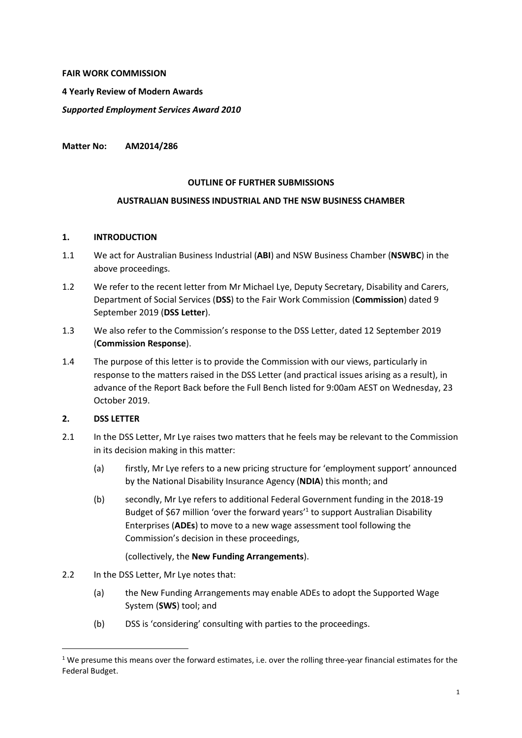### **FAIR WORK COMMISSION**

**4 Yearly Review of Modern Awards**

*Supported Employment Services Award 2010*

**Matter No: AM2014/286**

### **OUTLINE OF FURTHER SUBMISSIONS**

### **AUSTRALIAN BUSINESS INDUSTRIAL AND THE NSW BUSINESS CHAMBER**

### **1. INTRODUCTION**

- 1.1 We act for Australian Business Industrial (**ABI**) and NSW Business Chamber (**NSWBC**) in the above proceedings.
- 1.2 We refer to the recent letter from Mr Michael Lye, Deputy Secretary, Disability and Carers, Department of Social Services (**DSS**) to the Fair Work Commission (**Commission**) dated 9 September 2019 (**DSS Letter**).
- 1.3 We also refer to the Commission's response to the DSS Letter, dated 12 September 2019 (**Commission Response**).
- 1.4 The purpose of this letter is to provide the Commission with our views, particularly in response to the matters raised in the DSS Letter (and practical issues arising as a result), in advance of the Report Back before the Full Bench listed for 9:00am AEST on Wednesday, 23 October 2019.

### **2. DSS LETTER**

 $\overline{\phantom{a}}$ 

- 2.1 In the DSS Letter, Mr Lye raises two matters that he feels may be relevant to the Commission in its decision making in this matter:
	- (a) firstly, Mr Lye refers to a new pricing structure for 'employment support' announced by the National Disability Insurance Agency (**NDIA**) this month; and
	- (b) secondly, Mr Lye refers to additional Federal Government funding in the 2018-19 Budget of \$67 million 'over the forward years'<sup>1</sup> to support Australian Disability Enterprises (**ADEs**) to move to a new wage assessment tool following the Commission's decision in these proceedings,

### (collectively, the **New Funding Arrangements**).

- 2.2 In the DSS Letter, Mr Lye notes that:
	- (a) the New Funding Arrangements may enable ADEs to adopt the Supported Wage System (**SWS**) tool; and
	- (b) DSS is 'considering' consulting with parties to the proceedings.

<sup>&</sup>lt;sup>1</sup> We presume this means over the forward estimates, i.e. over the rolling three-year financial estimates for the Federal Budget.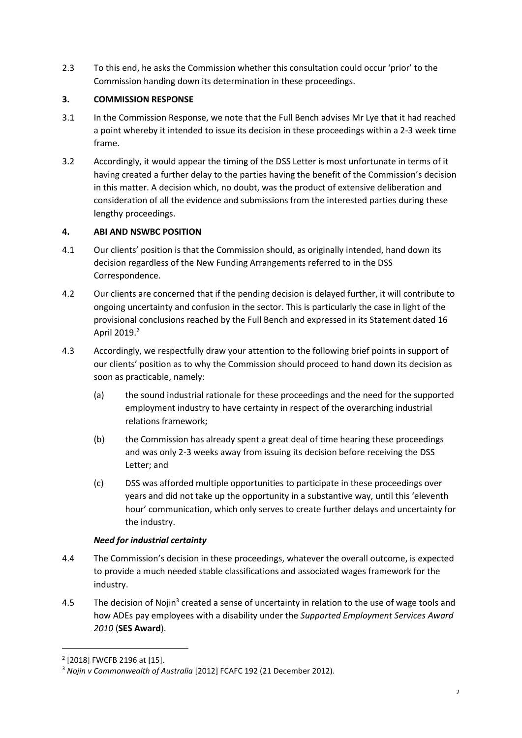2.3 To this end, he asks the Commission whether this consultation could occur 'prior' to the Commission handing down its determination in these proceedings.

# **3. COMMISSION RESPONSE**

- 3.1 In the Commission Response, we note that the Full Bench advises Mr Lye that it had reached a point whereby it intended to issue its decision in these proceedings within a 2-3 week time frame.
- 3.2 Accordingly, it would appear the timing of the DSS Letter is most unfortunate in terms of it having created a further delay to the parties having the benefit of the Commission's decision in this matter. A decision which, no doubt, was the product of extensive deliberation and consideration of all the evidence and submissions from the interested parties during these lengthy proceedings.

## **4. ABI AND NSWBC POSITION**

- 4.1 Our clients' position is that the Commission should, as originally intended, hand down its decision regardless of the New Funding Arrangements referred to in the DSS Correspondence.
- 4.2 Our clients are concerned that if the pending decision is delayed further, it will contribute to ongoing uncertainty and confusion in the sector. This is particularly the case in light of the provisional conclusions reached by the Full Bench and expressed in its Statement dated 16 April 2019. 2
- 4.3 Accordingly, we respectfully draw your attention to the following brief points in support of our clients' position as to why the Commission should proceed to hand down its decision as soon as practicable, namely:
	- (a) the sound industrial rationale for these proceedings and the need for the supported employment industry to have certainty in respect of the overarching industrial relations framework;
	- (b) the Commission has already spent a great deal of time hearing these proceedings and was only 2-3 weeks away from issuing its decision before receiving the DSS Letter; and
	- (c) DSS was afforded multiple opportunities to participate in these proceedings over years and did not take up the opportunity in a substantive way, until this 'eleventh hour' communication, which only serves to create further delays and uncertainty for the industry.

### *Need for industrial certainty*

- 4.4 The Commission's decision in these proceedings, whatever the overall outcome, is expected to provide a much needed stable classifications and associated wages framework for the industry.
- 4.5 The decision of Nojin<sup>3</sup> created a sense of uncertainty in relation to the use of wage tools and how ADEs pay employees with a disability under the *Supported Employment Services Award 2010* (**SES Award**).

 $\overline{\phantom{a}}$ 

<sup>2</sup> [2018] FWCFB 2196 at [15].

<sup>3</sup> *Nojin v Commonwealth of Australia* [2012] FCAFC 192 (21 December 2012).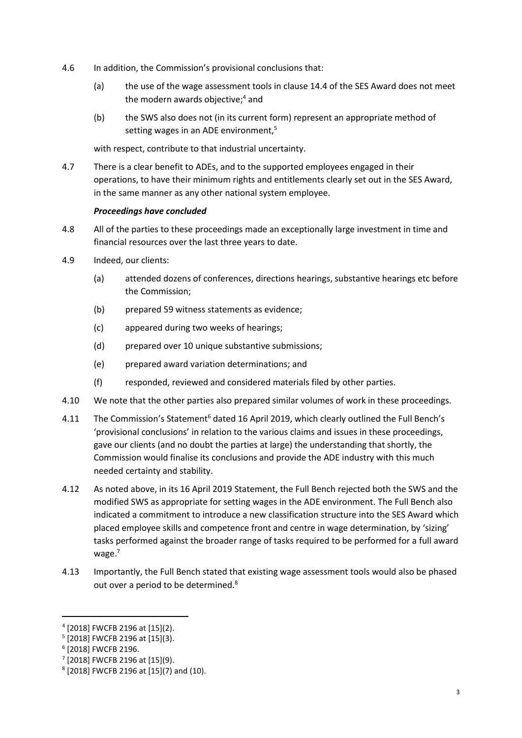- 4.6 In addition, the Commission's provisional conclusions that:
	- (a) the use of the wage assessment tools in clause 14.4 of the SES Award does not meet the modern awards objective; <sup>4</sup> and
	- (b) the SWS also does not (in its current form) represent an appropriate method of setting wages in an ADE environment,<sup>5</sup>

with respect, contribute to that industrial uncertainty.

4.7 There is a clear benefit to ADEs, and to the supported employees engaged in their operations, to have their minimum rights and entitlements clearly set out in the SES Award, in the same manner as any other national system employee.

### *Proceedings have concluded*

- 4.8 All of the parties to these proceedings made an exceptionally large investment in time and financial resources over the last three years to date.
- 4.9 Indeed, our clients:
	- (a) attended dozens of conferences, directions hearings, substantive hearings etc before the Commission;
	- (b) prepared 59 witness statements as evidence;
	- (c) appeared during two weeks of hearings;
	- (d) prepared over 10 unique substantive submissions;
	- (e) prepared award variation determinations; and
	- (f) responded, reviewed and considered materials filed by other parties.
- 4.10 We note that the other parties also prepared similar volumes of work in these proceedings.
- 4.11 The Commission's Statement<sup>6</sup> dated 16 April 2019, which clearly outlined the Full Bench's 'provisional conclusions' in relation to the various claims and issues in these proceedings, gave our clients (and no doubt the parties at large) the understanding that shortly, the Commission would finalise its conclusions and provide the ADE industry with this much needed certainty and stability.
- 4.12 As noted above, in its 16 April 2019 Statement, the Full Bench rejected both the SWS and the modified SWS as appropriate for setting wages in the ADE environment. The Full Bench also indicated a commitment to introduce a new classification structure into the SES Award which placed employee skills and competence front and centre in wage determination, by 'sizing' tasks performed against the broader range of tasks required to be performed for a full award wage.<sup>7</sup>
- 4.13 Importantly, the Full Bench stated that existing wage assessment tools would also be phased out over a period to be determined.<sup>8</sup>

 $\overline{a}$ 

<sup>4</sup> [2018] FWCFB 2196 at [15](2).

<sup>5</sup> [2018] FWCFB 2196 at [15](3).

<sup>6</sup> [2018] FWCFB 2196.

<sup>7</sup> [2018] FWCFB 2196 at [15](9).

<sup>8</sup> [2018] FWCFB 2196 at [15](7) and (10).